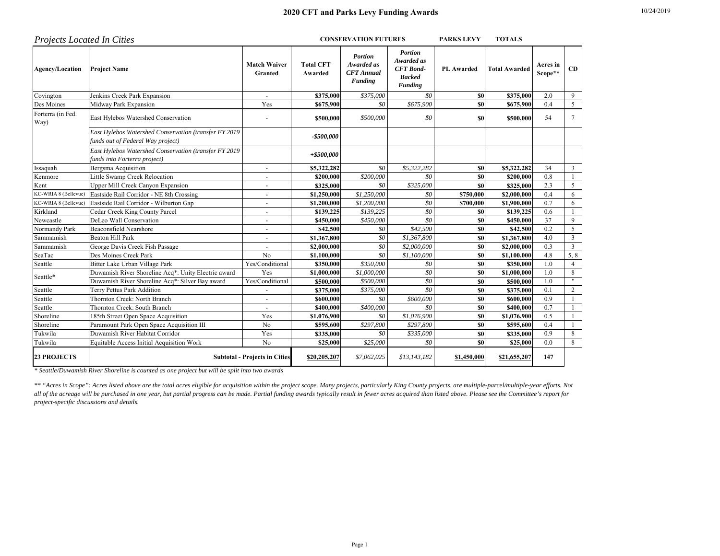| <b>Projects Located In Cities</b> |                                                                                            | <b>CONSERVATION FUTURES</b>          |                             |                                                              |                                                                                     | <b>PARKS LEVY</b> | <b>TOTALS</b>        |                     |                           |
|-----------------------------------|--------------------------------------------------------------------------------------------|--------------------------------------|-----------------------------|--------------------------------------------------------------|-------------------------------------------------------------------------------------|-------------------|----------------------|---------------------|---------------------------|
| <b>Agency/Location</b>            | <b>Project Name</b>                                                                        | <b>Match Waiver</b><br>Granted       | <b>Total CFT</b><br>Awarded | <b>Portion</b><br>Awarded as<br><b>CFT</b> Annual<br>Funding | <b>Portion</b><br>Awarded as<br><b>CFT</b> Bond-<br><b>Backed</b><br><b>Funding</b> | <b>PL</b> Awarded | <b>Total Awarded</b> | Acres in<br>Scope** | CD                        |
| Covington                         | Jenkins Creek Park Expansion                                                               |                                      | \$375,000                   | \$375,000                                                    | \$0                                                                                 | \$0               | \$375,000            | 2.0                 | 9                         |
| Des Moines                        | Midway Park Expansion                                                                      | Yes                                  | \$675,900                   | \$0                                                          | \$675,900                                                                           | \$0               | \$675,900            | 0.4                 | 5                         |
| Forterra (in Fed.<br>Way)         | East Hylebos Watershed Conservation                                                        |                                      | \$500,000                   | \$500,000                                                    | \$0                                                                                 | \$0               | \$500,000            | 54                  | $\tau$                    |
|                                   | East Hylebos Watershed Conservation (transfer FY 2019<br>funds out of Federal Way project) |                                      | $-$500,000$                 |                                                              |                                                                                     |                   |                      |                     |                           |
|                                   | East Hylebos Watershed Conservation (transfer FY 2019<br>funds into Forterra project)      |                                      | $+ $500,000$                |                                                              |                                                                                     |                   |                      |                     |                           |
| Issaquah                          | Bergsma Acquisition                                                                        | $\overline{\phantom{a}}$             | \$5,322,282                 | \$0                                                          | \$5,322,282                                                                         | \$0               | \$5,322,282          | 34                  | 3                         |
| Kenmore                           | Little Swamp Creek Relocation                                                              |                                      | \$200,000                   | \$200,000                                                    | SO                                                                                  | \$0               | \$200,000            | 0.8                 |                           |
| Kent                              | Upper Mill Creek Canyon Expansion                                                          |                                      | \$325,000                   | \$0                                                          | \$325,000                                                                           | \$0               | \$325,000            | 2.3                 | 5                         |
| KC-WRIA 8 (Bellevue)              | Eastside Rail Corridor - NE 8th Crossing                                                   |                                      | \$1,250,000                 | \$1,250,000                                                  | \$0                                                                                 | \$750,000         | \$2,000,000          | 0.4                 | 6                         |
| KC-WRIA 8 (Bellevue)              | Eastside Rail Corridor - Wilburton Gap                                                     |                                      | \$1,200,000                 | \$1,200,000                                                  | SO                                                                                  | \$700,000         | \$1,900,000          | 0.7                 | 6                         |
| Kirkland                          | Cedar Creek King County Parcel                                                             |                                      | \$139,225                   | \$139,225                                                    | $\overline{50}$                                                                     | \$0               | \$139,225            | 0.6                 |                           |
| Newcastle                         | DeLeo Wall Conservation                                                                    |                                      | \$450,000                   | \$450,000                                                    | SO                                                                                  | \$0               | \$450,000            | 37                  | 9                         |
| Normandy Park                     | <b>Beaconsfield Nearshore</b>                                                              |                                      | \$42,500                    | \$0                                                          | \$42,500                                                                            | \$0               | \$42,500             | 0.2                 | 5                         |
| Sammamish                         | <b>Beaton Hill Park</b>                                                                    |                                      | \$1,367,800                 | \$0                                                          | \$1,367,800                                                                         | \$0               | \$1,367,800          | 4.0                 | 3                         |
| Sammamish                         | George Davis Creek Fish Passage                                                            |                                      | \$2,000,000                 | \$0                                                          | \$2,000,000                                                                         | \$0               | \$2,000,000          | 0.3                 | 3                         |
| SeaTac                            | Des Moines Creek Park                                                                      | No                                   | \$1,100,000                 | \$0                                                          | \$1,100,000                                                                         | \$0               | \$1,100,000          | 4.8                 | 5, 8                      |
| Seattle                           | Bitter Lake Urban Village Park                                                             | Yes/Conditional                      | \$350,000                   | \$350,000                                                    | \$0                                                                                 | \$0               | \$350,000            | 1.0                 | $\overline{4}$            |
| Seattle*                          | Duwamish River Shoreline Acq*: Unity Electric award                                        | Yes                                  | \$1,000,000                 | \$1,000,000                                                  | \$0                                                                                 | \$0               | \$1,000,000          | 1.0                 | 8                         |
|                                   | Duwamish River Shoreline Acq*: Silver Bay award                                            | Yes/Conditional                      | \$500,000                   | \$500,000                                                    | $\mathcal{S}^{\scriptscriptstyle O}$                                                | \$0               | \$500,000            | 1.0                 | $\boldsymbol{\mathsf{H}}$ |
| Seattle                           | Terry Pettus Park Addition                                                                 |                                      | \$375,000                   | \$375,000                                                    | SO                                                                                  | \$0               | \$375,000            | 0.1                 | $\overline{c}$            |
| Seattle                           | Thornton Creek: North Branch                                                               |                                      | \$600,000                   | \$0                                                          | \$600,000                                                                           | \$0               | \$600,000            | 0.9                 |                           |
| Seattle                           | Thornton Creek: South Branch                                                               |                                      | \$400,000                   | \$400,000                                                    | SO                                                                                  | <b>SO</b>         | \$400,000            | 0.7                 |                           |
| Shoreline                         | 185th Street Open Space Acquisition                                                        | Yes                                  | \$1,076,900                 | \$0                                                          | \$1,076,900                                                                         | \$0               | \$1,076,900          | 0.5                 |                           |
| Shoreline                         | Paramount Park Open Space Acquisition III                                                  | N <sub>o</sub>                       | \$595,600                   | \$297,800                                                    | \$297,800                                                                           | \$0               | \$595,600            | 0.4                 |                           |
| Tukwila                           | Duwamish River Habitat Corridor                                                            | Yes                                  | \$335,000                   | \$0                                                          | \$335,000                                                                           | <b>SO</b>         | \$335,000            | 0.9                 | 8                         |
| Tukwila                           | Equitable Access Initial Acquisition Work                                                  | No                                   | \$25,000                    | \$25,000                                                     | \$0                                                                                 | \$0               | \$25,000             | 0.0                 | 8                         |
| <b>23 PROJECTS</b>                |                                                                                            | <b>Subtotal - Projects in Cities</b> | \$20,205,207                | \$7,062,025                                                  | \$13,143,182                                                                        | \$1,450,000       | \$21,655,207         | 147                 |                           |

*\* Seattle/Duwamish River Shoreline is counted as one project but will be split into two awards*

*\*\* "Acres in Scope": Acres listed above are the total acres eligible for acquisition within the project scope. Many projects, particularly King County projects, are multiple-parcel/multiple-year efforts. Not all of the acreage will be purchased in one year, but partial progress can be made. Partial funding awards typically result in fewer acres acquired than listed above. Please see the Committee's report for project-specific discussions and details.*